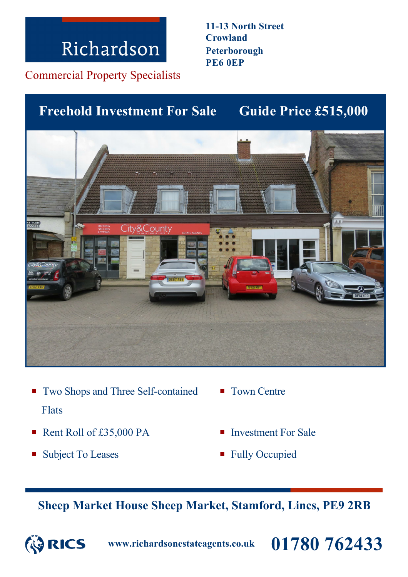Commercial Property Specialists

### **Guide Price £515,000 Freehold Investment For Sale**



- Two Shops and Three Self-contained Flats
- Rent Roll of £35,000 PA Investment For Sale
- Subject To Leases Fully Occupied
- Town Centre
- 
- 

**Sheep Market House Sheep Market, Stamford, Lincs, PE9 2RB**



**www.richardsonestateagents.co.uk 01780 762433**

**11-13 North Street Crowland Peterborough PE6 0EP**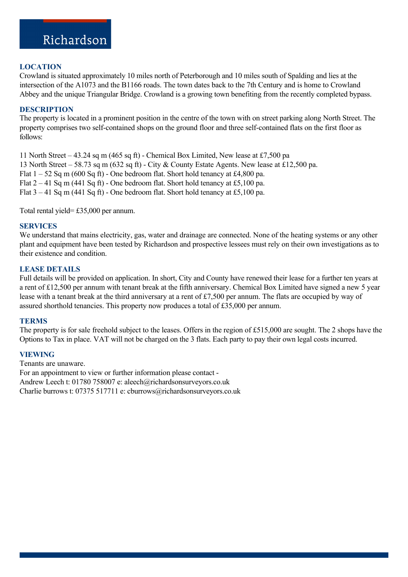#### **LOCATION**

Crowland is situated approximately 10 miles north of Peterborough and 10 miles south of Spalding and lies at the intersection of the A1073 and the B1166 roads. The town dates back to the 7th Century and is home to Crowland Abbey and the unique Triangular Bridge. Crowland is a growing town benefiting from the recently completed bypass.

#### **DESCRIPTION**

The property is located in a prominent position in the centre of the town with on street parking along North Street. The property comprises two self-contained shops on the ground floor and three self-contained flats on the first floor as follows:

11 North Street – 43.24 sq m (465 sq ft) - Chemical Box Limited, New lease at £7,500 pa 13 North Street – 58.73 sq m (632 sq ft) - City & County Estate Agents. New lease at £12,500 pa. Flat  $1 - 52$  Sq m (600 Sq ft) - One bedroom flat. Short hold tenancy at £4,800 pa. Flat  $2 - 41$  Sq m (441 Sq ft) - One bedroom flat. Short hold tenancy at £5,100 pa. Flat  $3 - 41$  Sq m (441 Sq ft) - One bedroom flat. Short hold tenancy at £5,100 pa.

Total rental yield= £35,000 per annum.

#### **SERVICES**

We understand that mains electricity, gas, water and drainage are connected. None of the heating systems or any other plant and equipment have been tested by Richardson and prospective lessees must rely on their own investigations as to their existence and condition.

#### **LEASE DETAILS**

Full details will be provided on application. In short, City and County have renewed their lease for a further ten years at a rent of £12,500 per annum with tenant break at the fifth anniversary. Chemical Box Limited have signed a new 5 year lease with a tenant break at the third anniversary at a rent of £7,500 per annum. The flats are occupied by way of assured shorthold tenancies. This property now produces a total of £35,000 per annum.

#### **TERMS**

The property is for sale freehold subject to the leases. Offers in the region of £515,000 are sought. The 2 shops have the Options to Tax in place. VAT will not be charged on the 3 flats. Each party to pay their own legal costs incurred.

#### **VIEWING**

Tenants are unaware. For an appointment to view or further information please contact - Andrew Leech t: 01780 758007 e: aleech@richardsonsurveyors.co.uk Charlie burrows t: 07375 517711 e: cburrows@richardsonsurveyors.co.uk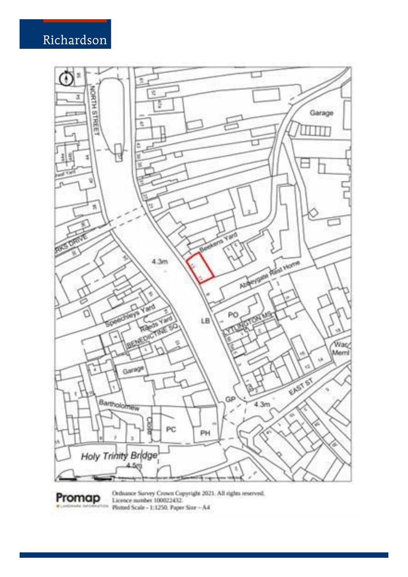Promap



Ordnance Survey Crown Copyright 2021. All rights reserved.<br>Licence number 100022432. Plotted Scale - 1:1250, Paper Star - A4